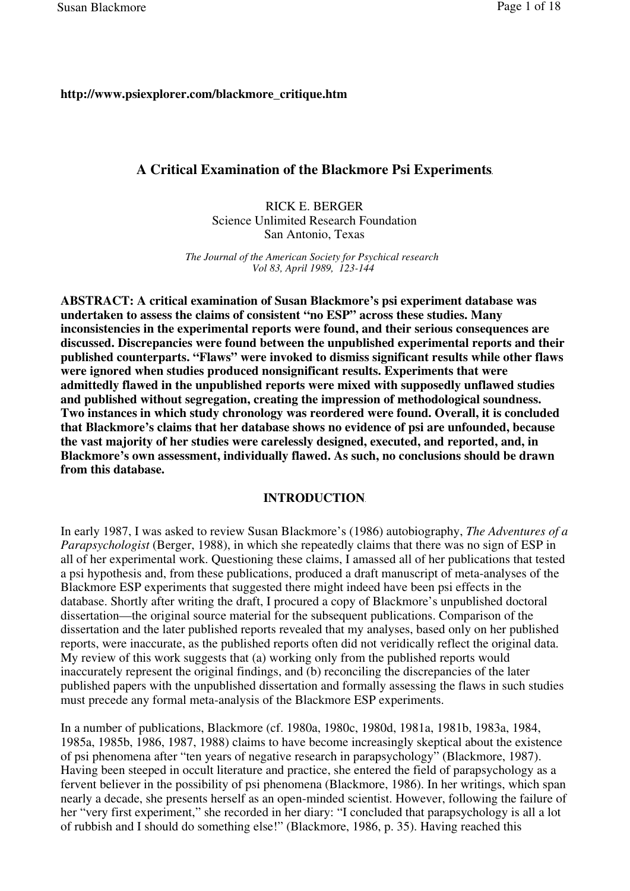## **http://www.psiexplorer.com/blackmore\_critique.htm**

## **A Critical Examination of the Blackmore Psi Experiments**

RICK E. BERGER Science Unlimited Research Foundation San Antonio, Texas

*The Journal of the American Society for Psychical research Vol 83, April 1989, 123-144*

**ABSTRACT: A critical examination of Susan Blackmore's psi experiment database was undertaken to assess the claims of consistent "no ESP" across these studies. Many inconsistencies in the experimental reports were found, and their serious consequences are discussed. Discrepancies were found between the unpublished experimental reports and their published counterparts. "Flaws" were invoked to dismiss significant results while other flaws were ignored when studies produced nonsignificant results. Experiments that were admittedly flawed in the unpublished reports were mixed with supposedly unflawed studies and published without segregation, creating the impression of methodological soundness. Two instances in which study chronology was reordered were found. Overall, it is concluded that Blackmore's claims that her database shows no evidence of psi are unfounded, because the vast majority of her studies were carelessly designed, executed, and reported, and, in Blackmore's own assessment, individually flawed. As such, no conclusions should be drawn from this database.**

## **INTRODUCTION**

In early 1987, I was asked to review Susan Blackmore's (1986) autobiography, *The Adventures of a Parapsychologist* (Berger, 1988), in which she repeatedly claims that there was no sign of ESP in all of her experimental work. Questioning these claims, I amassed all of her publications that tested a psi hypothesis and, from these publications, produced a draft manuscript of meta-analyses of the Blackmore ESP experiments that suggested there might indeed have been psi effects in the database. Shortly after writing the draft, I procured a copy of Blackmore's unpublished doctoral dissertation—the original source material for the subsequent publications. Comparison of the dissertation and the later published reports revealed that my analyses, based only on her published reports, were inaccurate, as the published reports often did not veridically reflect the original data. My review of this work suggests that (a) working only from the published reports would inaccurately represent the original findings, and (b) reconciling the discrepancies of the later published papers with the unpublished dissertation and formally assessing the flaws in such studies must precede any formal meta-analysis of the Blackmore ESP experiments.

In a number of publications, Blackmore (cf. 1980a, 1980c, 1980d, 1981a, 1981b, 1983a, 1984, 1985a, 1985b, 1986, 1987, 1988) claims to have become increasingly skeptical about the existence of psi phenomena after "ten years of negative research in parapsychology" (Blackmore, 1987). Having been steeped in occult literature and practice, she entered the field of parapsychology as a fervent believer in the possibility of psi phenomena (Blackmore, 1986). In her writings, which span nearly a decade, she presents herself as an open-minded scientist. However, following the failure of her "very first experiment," she recorded in her diary: "I concluded that parapsychology is all a lot of rubbish and I should do something else!" (Blackmore, 1986, p. 35). Having reached this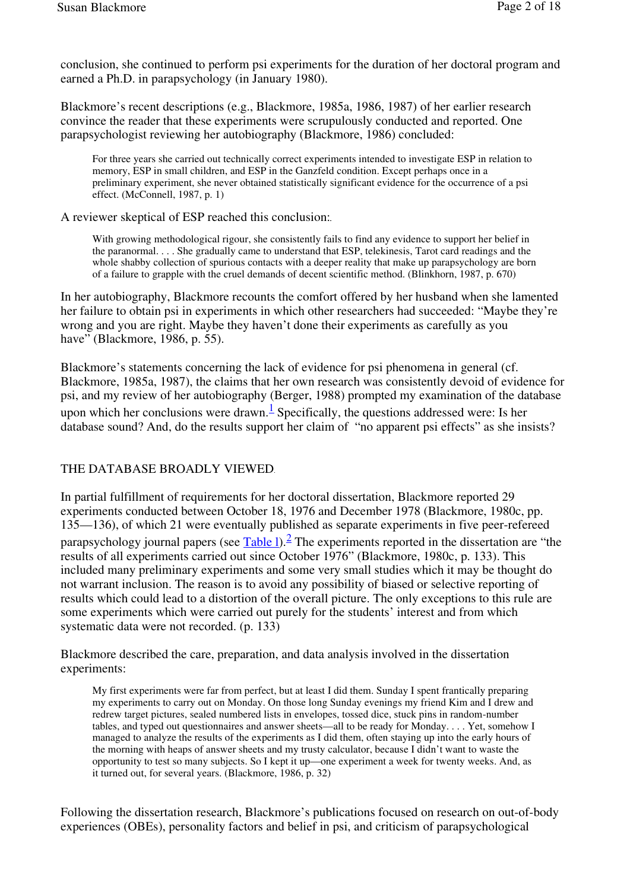conclusion, she continued to perform psi experiments for the duration of her doctoral program and earned a Ph.D. in parapsychology (in January 1980).

Blackmore's recent descriptions (e.g., Blackmore, 1985a, 1986, 1987) of her earlier research convince the reader that these experiments were scrupulously conducted and reported. One parapsychologist reviewing her autobiography (Blackmore, 1986) concluded:

For three years she carried out technically correct experiments intended to investigate ESP in relation to memory, ESP in small children, and ESP in the Ganzfeld condition. Except perhaps once in a preliminary experiment, she never obtained statistically significant evidence for the occurrence of a psi effect. (McConnell, 1987, p. 1)

A reviewer skeptical of ESP reached this conclusion:

With growing methodological rigour, she consistently fails to find any evidence to support her belief in the paranormal. . . . She gradually came to understand that ESP, telekinesis, Tarot card readings and the whole shabby collection of spurious contacts with a deeper reality that make up parapsychology are born of a failure to grapple with the cruel demands of decent scientific method. (Blinkhorn, 1987, p. 670)

In her autobiography, Blackmore recounts the comfort offered by her husband when she lamented her failure to obtain psi in experiments in which other researchers had succeeded: "Maybe they're wrong and you are right. Maybe they haven't done their experiments as carefully as you have" (Blackmore, 1986, p. 55).

Blackmore's statements concerning the lack of evidence for psi phenomena in general (cf. Blackmore, 1985a, 1987), the claims that her own research was consistently devoid of evidence for psi, and my review of her autobiography (Berger, 1988) prompted my examination of the database upon which her conclusions were drawn. $\frac{1}{n}$  Specifically, the questions addressed were: Is her database sound? And, do the results support her claim of "no apparent psi effects" as she insists?

## THE DATABASE BROADLY VIEWED

In partial fulfillment of requirements for her doctoral dissertation, Blackmore reported 29 experiments conducted between October 18, 1976 and December 1978 (Blackmore, 1980c, pp. 135—136), of which 21 were eventually published as separate experiments in five peer-refereed parapsychology journal papers (see Table 1). <sup>2</sup> The experiments reported in the dissertation are "the results of all experiments carried out since October 1976" (Blackmore, 1980c, p. 133). This included many preliminary experiments and some very small studies which it may be thought do not warrant inclusion. The reason is to avoid any possibility of biased or selective reporting of results which could lead to a distortion of the overall picture. The only exceptions to this rule are some experiments which were carried out purely for the students' interest and from which systematic data were not recorded. (p. 133)

Blackmore described the care, preparation, and data analysis involved in the dissertation experiments:

My first experiments were far from perfect, but at least I did them. Sunday I spent frantically preparing my experiments to carry out on Monday. On those long Sunday evenings my friend Kim and I drew and redrew target pictures, sealed numbered lists in envelopes, tossed dice, stuck pins in random-number tables, and typed out questionnaires and answer sheets—all to be ready for Monday. . . . Yet, somehow I managed to analyze the results of the experiments as I did them, often staying up into the early hours of the morning with heaps of answer sheets and my trusty calculator, because I didn't want to waste the opportunity to test so many subjects. So I kept it up—one experiment a week for twenty weeks. And, as it turned out, for several years. (Blackmore, 1986, p. 32)

Following the dissertation research, Blackmore's publications focused on research on out-of-body experiences (OBEs), personality factors and belief in psi, and criticism of parapsychological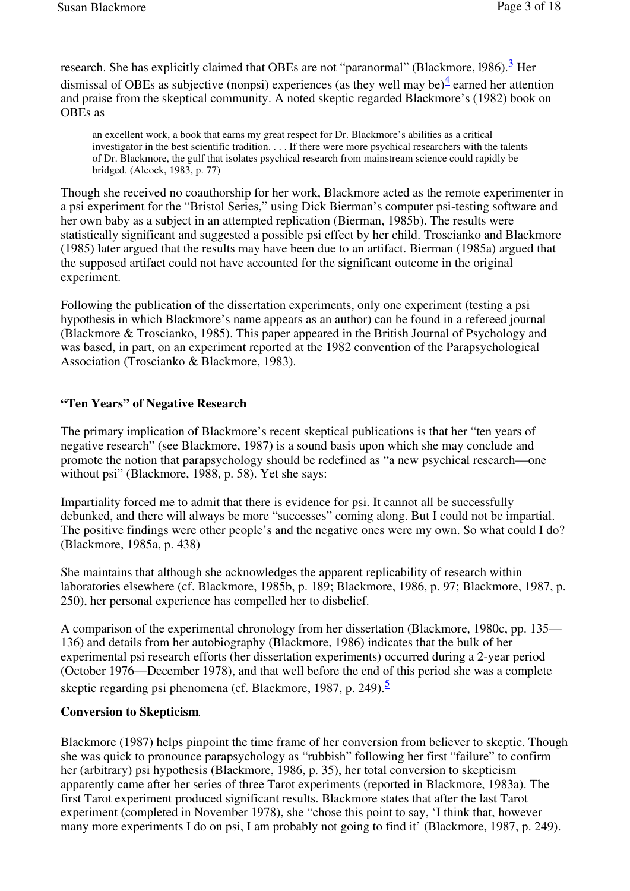research. She has explicitly claimed that OBEs are not "paranormal" (Blackmore, 1986).<sup>3</sup> Her dismissal of OBEs as subjective (nonpsi) experiences (as they well may be) $\frac{4}{3}$  earned her attention and praise from the skeptical community. A noted skeptic regarded Blackmore's (1982) book on OBEs as

an excellent work, a book that earns my great respect for Dr. Blackmore's abilities as a critical investigator in the best scientific tradition. . . . If there were more psychical researchers with the talents of Dr. Blackmore, the gulf that isolates psychical research from mainstream science could rapidly be bridged. (Alcock, 1983, p. 77)

Though she received no coauthorship for her work, Blackmore acted as the remote experimenter in a psi experiment for the "Bristol Series," using Dick Bierman's computer psi-testing software and her own baby as a subject in an attempted replication (Bierman, 1985b). The results were statistically significant and suggested a possible psi effect by her child. Troscianko and Blackmore (1985) later argued that the results may have been due to an artifact. Bierman (1985a) argued that the supposed artifact could not have accounted for the significant outcome in the original experiment.

Following the publication of the dissertation experiments, only one experiment (testing a psi hypothesis in which Blackmore's name appears as an author) can be found in a refereed journal (Blackmore & Troscianko, 1985). This paper appeared in the British Journal of Psychology and was based, in part, on an experiment reported at the 1982 convention of the Parapsychological Association (Troscianko & Blackmore, 1983).

# **"Ten Years" of Negative Research**

The primary implication of Blackmore's recent skeptical publications is that her "ten years of negative research" (see Blackmore, 1987) is a sound basis upon which she may conclude and promote the notion that parapsychology should be redefined as "a new psychical research—one without psi" (Blackmore, 1988, p. 58). Yet she says:

Impartiality forced me to admit that there is evidence for psi. It cannot all be successfully debunked, and there will always be more "successes" coming along. But I could not be impartial. The positive findings were other people's and the negative ones were my own. So what could I do? (Blackmore, 1985a, p. 438)

She maintains that although she acknowledges the apparent replicability of research within laboratories elsewhere (cf. Blackmore, 1985b, p. 189; Blackmore, 1986, p. 97; Blackmore, 1987, p. 250), her personal experience has compelled her to disbelief.

A comparison of the experimental chronology from her dissertation (Blackmore, 1980c, pp. 135— 136) and details from her autobiography (Blackmore, 1986) indicates that the bulk of her experimental psi research efforts (her dissertation experiments) occurred during a 2-year period (October 1976—December 1978), and that well before the end of this period she was a complete skeptic regarding psi phenomena (cf. Blackmore, 1987, p. 249).<sup>5</sup>

# **Conversion to Skepticism**

Blackmore (1987) helps pinpoint the time frame of her conversion from believer to skeptic. Though she was quick to pronounce parapsychology as "rubbish" following her first "failure" to confirm her (arbitrary) psi hypothesis (Blackmore, 1986, p. 35), her total conversion to skepticism apparently came after her series of three Tarot experiments (reported in Blackmore, 1983a). The first Tarot experiment produced significant results. Blackmore states that after the last Tarot experiment (completed in November 1978), she "chose this point to say, 'I think that, however many more experiments I do on psi, I am probably not going to find it' (Blackmore, 1987, p. 249).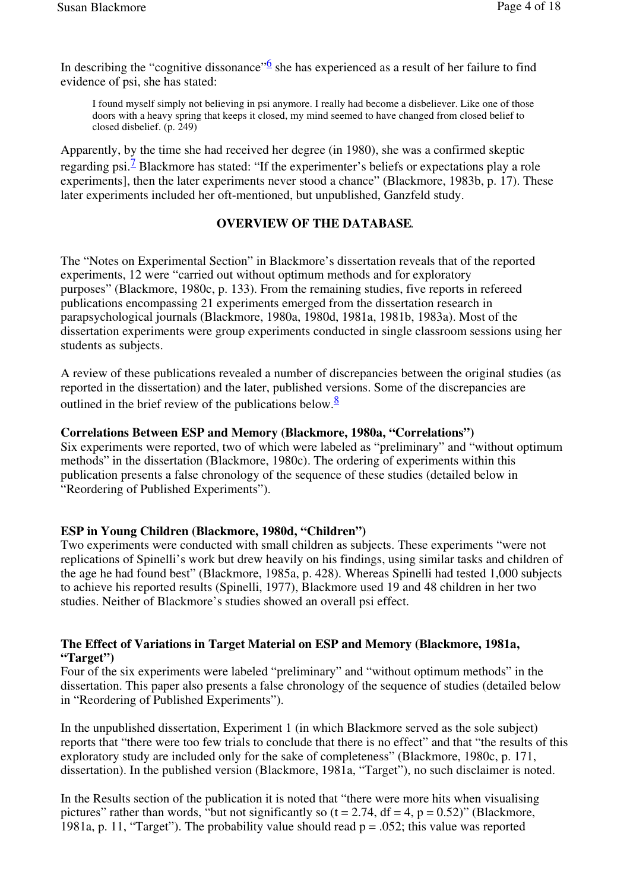In describing the "cognitive dissonance" $\frac{6}{9}$  she has experienced as a result of her failure to find evidence of psi, she has stated:

I found myself simply not believing in psi anymore. I really had become a disbeliever. Like one of those doors with a heavy spring that keeps it closed, my mind seemed to have changed from closed belief to closed disbelief. (p. 249)

Apparently, by the time she had received her degree (in 1980), she was a confirmed skeptic regarding psi.<sup>7</sup> Blackmore has stated: "If the experimenter's beliefs or expectations play a role experiments], then the later experiments never stood a chance" (Blackmore, 1983b, p. 17). These later experiments included her oft-mentioned, but unpublished, Ganzfeld study.

## **OVERVIEW OF THE DATABASE**

The "Notes on Experimental Section" in Blackmore's dissertation reveals that of the reported experiments, 12 were "carried out without optimum methods and for exploratory purposes" (Blackmore, 1980c, p. 133). From the remaining studies, five reports in refereed publications encompassing 21 experiments emerged from the dissertation research in parapsychological journals (Blackmore, 1980a, 1980d, 1981a, 1981b, 1983a). Most of the dissertation experiments were group experiments conducted in single classroom sessions using her students as subjects.

A review of these publications revealed a number of discrepancies between the original studies (as reported in the dissertation) and the later, published versions. Some of the discrepancies are outlined in the brief review of the publications below. $\frac{8}{3}$ 

## **Correlations Between ESP and Memory (Blackmore, 1980a, "Correlations")**

Six experiments were reported, two of which were labeled as "preliminary" and "without optimum methods" in the dissertation (Blackmore, 1980c). The ordering of experiments within this publication presents a false chronology of the sequence of these studies (detailed below in "Reordering of Published Experiments").

## **ESP in Young Children (Blackmore, 1980d, "Children")**

Two experiments were conducted with small children as subjects. These experiments "were not replications of Spinelli's work but drew heavily on his findings, using similar tasks and children of the age he had found best" (Blackmore, 1985a, p. 428). Whereas Spinelli had tested 1,000 subjects to achieve his reported results (Spinelli, 1977), Blackmore used 19 and 48 children in her two studies. Neither of Blackmore's studies showed an overall psi effect.

### **The Effect of Variations in Target Material on ESP and Memory (Blackmore, 1981a, "Target")**

Four of the six experiments were labeled "preliminary" and "without optimum methods" in the dissertation. This paper also presents a false chronology of the sequence of studies (detailed below in "Reordering of Published Experiments").

In the unpublished dissertation, Experiment 1 (in which Blackmore served as the sole subject) reports that "there were too few trials to conclude that there is no effect" and that "the results of this exploratory study are included only for the sake of completeness" (Blackmore, 1980c, p. 171, dissertation). In the published version (Blackmore, 1981a, "Target"), no such disclaimer is noted.

In the Results section of the publication it is noted that "there were more hits when visualising pictures" rather than words, "but not significantly so  $(t = 2.74, df = 4, p = 0.52)$ " (Blackmore, 1981a, p. 11, "Target"). The probability value should read  $p = 0.052$ ; this value was reported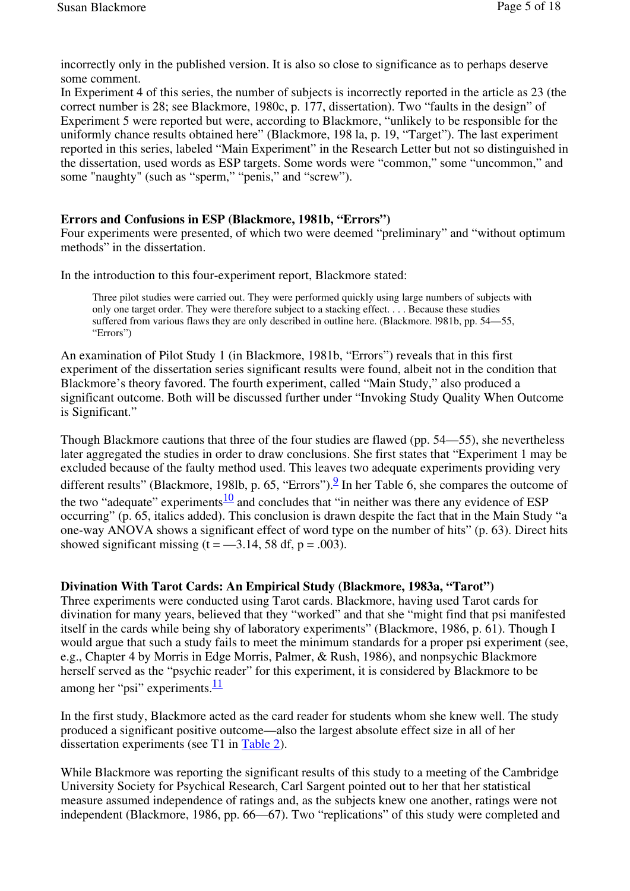incorrectly only in the published version. It is also so close to significance as to perhaps deserve some comment.

In Experiment 4 of this series, the number of subjects is incorrectly reported in the article as 23 (the correct number is 28; see Blackmore, 1980c, p. 177, dissertation). Two "faults in the design" of Experiment 5 were reported but were, according to Blackmore, "unlikely to be responsible for the uniformly chance results obtained here" (Blackmore, 198 la, p. 19, "Target"). The last experiment reported in this series, labeled "Main Experiment" in the Research Letter but not so distinguished in the dissertation, used words as ESP targets. Some words were "common," some "uncommon," and some "naughty" (such as "sperm," "penis," and "screw").

### **Errors and Confusions in ESP (Blackmore, 1981b, "Errors")**

Four experiments were presented, of which two were deemed "preliminary" and "without optimum methods" in the dissertation.

In the introduction to this four-experiment report, Blackmore stated:

Three pilot studies were carried out. They were performed quickly using large numbers of subjects with only one target order. They were therefore subject to a stacking effect. . . . Because these studies suffered from various flaws they are only described in outline here. (Blackmore. l981b, pp. 54—55, "Errors")

An examination of Pilot Study 1 (in Blackmore, 1981b, "Errors") reveals that in this first experiment of the dissertation series significant results were found, albeit not in the condition that Blackmore's theory favored. The fourth experiment, called "Main Study," also produced a significant outcome. Both will be discussed further under "Invoking Study Quality When Outcome is Significant."

Though Blackmore cautions that three of the four studies are flawed (pp. 54—55), she nevertheless later aggregated the studies in order to draw conclusions. She first states that "Experiment 1 may be excluded because of the faulty method used. This leaves two adequate experiments providing very different results" (Blackmore, 198lb, p. 65, "Errors"). $\frac{9}{5}$  In her Table 6, she compares the outcome of the two "adequate" experiments $\frac{10}{2}$  and concludes that "in neither was there any evidence of ESP occurring" (p. 65, italics added). This conclusion is drawn despite the fact that in the Main Study "a one-way ANOVA shows a significant effect of word type on the number of hits" (p. 63). Direct hits showed significant missing  $(t = -3.14, 58$  df,  $p = .003$ ).

# **Divination With Tarot Cards: An Empirical Study (Blackmore, 1983a, "Tarot")**

Three experiments were conducted using Tarot cards. Blackmore, having used Tarot cards for divination for many years, believed that they "worked" and that she "might find that psi manifested itself in the cards while being shy of laboratory experiments" (Blackmore, 1986, p. 61). Though I would argue that such a study fails to meet the minimum standards for a proper psi experiment (see, e.g., Chapter 4 by Morris in Edge Morris, Palmer, & Rush, 1986), and nonpsychic Blackmore herself served as the "psychic reader" for this experiment, it is considered by Blackmore to be among her "psi" experiments. $\frac{11}{1}$ 

In the first study, Blackmore acted as the card reader for students whom she knew well. The study produced a significant positive outcome—also the largest absolute effect size in all of her dissertation experiments (see T1 in Table 2).

While Blackmore was reporting the significant results of this study to a meeting of the Cambridge University Society for Psychical Research, Carl Sargent pointed out to her that her statistical measure assumed independence of ratings and, as the subjects knew one another, ratings were not independent (Blackmore, 1986, pp. 66—67). Two "replications" of this study were completed and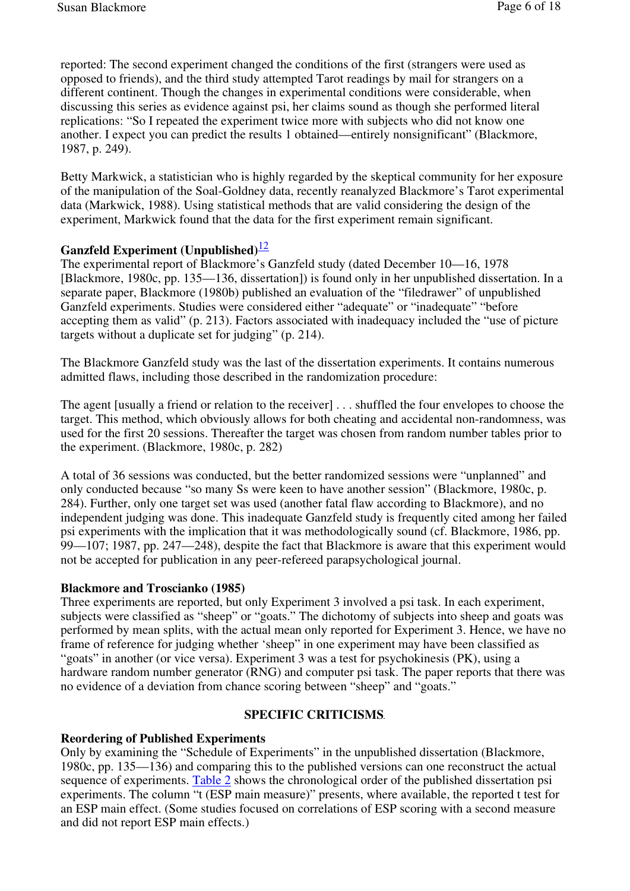reported: The second experiment changed the conditions of the first (strangers were used as opposed to friends), and the third study attempted Tarot readings by mail for strangers on a different continent. Though the changes in experimental conditions were considerable, when discussing this series as evidence against psi, her claims sound as though she performed literal replications: "So I repeated the experiment twice more with subjects who did not know one another. I expect you can predict the results 1 obtained—entirely nonsignificant" (Blackmore, 1987, p. 249).

Betty Markwick, a statistician who is highly regarded by the skeptical community for her exposure of the manipulation of the Soal-Goldney data, recently reanalyzed Blackmore's Tarot experimental data (Markwick, 1988). Using statistical methods that are valid considering the design of the experiment, Markwick found that the data for the first experiment remain significant.

## **Ganzfeld Experiment (Unpublished)**<sup>12</sup>

The experimental report of Blackmore's Ganzfeld study (dated December 10—16, 1978 [Blackmore, 1980c, pp. 135—136, dissertation]) is found only in her unpublished dissertation. In a separate paper, Blackmore (1980b) published an evaluation of the "filedrawer" of unpublished Ganzfeld experiments. Studies were considered either "adequate" or "inadequate" "before accepting them as valid" (p. 213). Factors associated with inadequacy included the "use of picture targets without a duplicate set for judging" (p. 214).

The Blackmore Ganzfeld study was the last of the dissertation experiments. It contains numerous admitted flaws, including those described in the randomization procedure:

The agent [usually a friend or relation to the receiver] . . . shuffled the four envelopes to choose the target. This method, which obviously allows for both cheating and accidental non-randomness, was used for the first 20 sessions. Thereafter the target was chosen from random number tables prior to the experiment. (Blackmore, 1980c, p. 282)

A total of 36 sessions was conducted, but the better randomized sessions were "unplanned" and only conducted because "so many Ss were keen to have another session" (Blackmore, 1980c, p. 284). Further, only one target set was used (another fatal flaw according to Blackmore), and no independent judging was done. This inadequate Ganzfeld study is frequently cited among her failed psi experiments with the implication that it was methodologically sound (cf. Blackmore, 1986, pp. 99—107; 1987, pp. 247—248), despite the fact that Blackmore is aware that this experiment would not be accepted for publication in any peer-refereed parapsychological journal.

#### **Blackmore and Troscianko (1985)**

Three experiments are reported, but only Experiment 3 involved a psi task. In each experiment, subjects were classified as "sheep" or "goats." The dichotomy of subjects into sheep and goats was performed by mean splits, with the actual mean only reported for Experiment 3. Hence, we have no frame of reference for judging whether 'sheep" in one experiment may have been classified as "goats" in another (or vice versa). Experiment 3 was a test for psychokinesis (PK), using a hardware random number generator (RNG) and computer psi task. The paper reports that there was no evidence of a deviation from chance scoring between "sheep" and "goats."

## **SPECIFIC CRITICISMS**

#### **Reordering of Published Experiments**

Only by examining the "Schedule of Experiments" in the unpublished dissertation (Blackmore, 1980c, pp. 135—136) and comparing this to the published versions can one reconstruct the actual sequence of experiments. Table 2 shows the chronological order of the published dissertation psi experiments. The column "t (ESP main measure)" presents, where available, the reported t test for an ESP main effect. (Some studies focused on correlations of ESP scoring with a second measure and did not report ESP main effects.)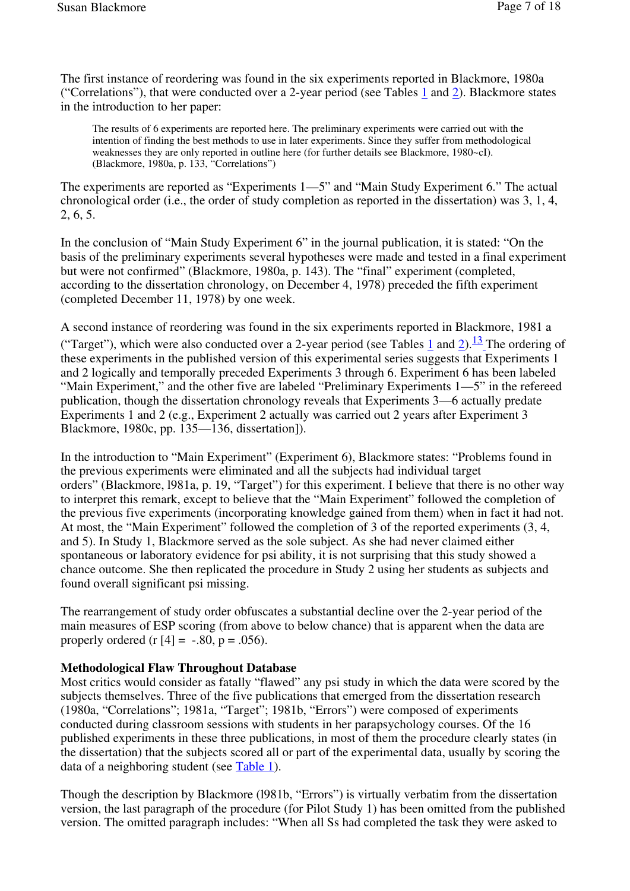The first instance of reordering was found in the six experiments reported in Blackmore, 1980a ("Correlations"), that were conducted over a 2-year period (see Tables 1 and 2). Blackmore states in the introduction to her paper:

The results of 6 experiments are reported here. The preliminary experiments were carried out with the intention of finding the best methods to use in later experiments. Since they suffer from methodological weaknesses they are only reported in outline here (for further details see Blackmore, 1980~cI). (Blackmore, 1980a, p. 133, "Correlations")

The experiments are reported as "Experiments 1—5" and "Main Study Experiment 6." The actual chronological order (i.e., the order of study completion as reported in the dissertation) was 3, 1, 4, 2, 6, 5.

In the conclusion of "Main Study Experiment 6" in the journal publication, it is stated: "On the basis of the preliminary experiments several hypotheses were made and tested in a final experiment but were not confirmed" (Blackmore, 1980a, p. 143). The "final" experiment (completed, according to the dissertation chronology, on December 4, 1978) preceded the fifth experiment (completed December 11, 1978) by one week.

A second instance of reordering was found in the six experiments reported in Blackmore, 1981 a ("Target"), which were also conducted over a 2-year period (see Tables 1 and 2).<sup>13</sup> The ordering of these experiments in the published version of this experimental series suggests that Experiments 1 and 2 logically and temporally preceded Experiments 3 through 6. Experiment 6 has been labeled "Main Experiment," and the other five are labeled "Preliminary Experiments 1—5" in the refereed publication, though the dissertation chronology reveals that Experiments 3—6 actually predate Experiments 1 and 2 (e.g., Experiment 2 actually was carried out 2 years after Experiment 3 Blackmore, 1980c, pp. 135—136, dissertation]).

In the introduction to "Main Experiment" (Experiment 6), Blackmore states: "Problems found in the previous experiments were eliminated and all the subjects had individual target orders" (Blackmore, l981a, p. 19, "Target") for this experiment. I believe that there is no other way to interpret this remark, except to believe that the "Main Experiment" followed the completion of the previous five experiments (incorporating knowledge gained from them) when in fact it had not. At most, the "Main Experiment" followed the completion of 3 of the reported experiments (3, 4, and 5). In Study 1, Blackmore served as the sole subject. As she had never claimed either spontaneous or laboratory evidence for psi ability, it is not surprising that this study showed a chance outcome. She then replicated the procedure in Study 2 using her students as subjects and found overall significant psi missing.

The rearrangement of study order obfuscates a substantial decline over the 2-year period of the main measures of ESP scoring (from above to below chance) that is apparent when the data are properly ordered (r  $[4] = -.80, p = .056$ ).

# **Methodological Flaw Throughout Database**

Most critics would consider as fatally "flawed" any psi study in which the data were scored by the subjects themselves. Three of the five publications that emerged from the dissertation research (1980a, "Correlations"; 1981a, "Target"; 1981b, "Errors") were composed of experiments conducted during classroom sessions with students in her parapsychology courses. Of the 16 published experiments in these three publications, in most of them the procedure clearly states (in the dissertation) that the subjects scored all or part of the experimental data, usually by scoring the data of a neighboring student (see Table 1).

Though the description by Blackmore (l981b, "Errors") is virtually verbatim from the dissertation version, the last paragraph of the procedure (for Pilot Study 1) has been omitted from the published version. The omitted paragraph includes: "When all Ss had completed the task they were asked to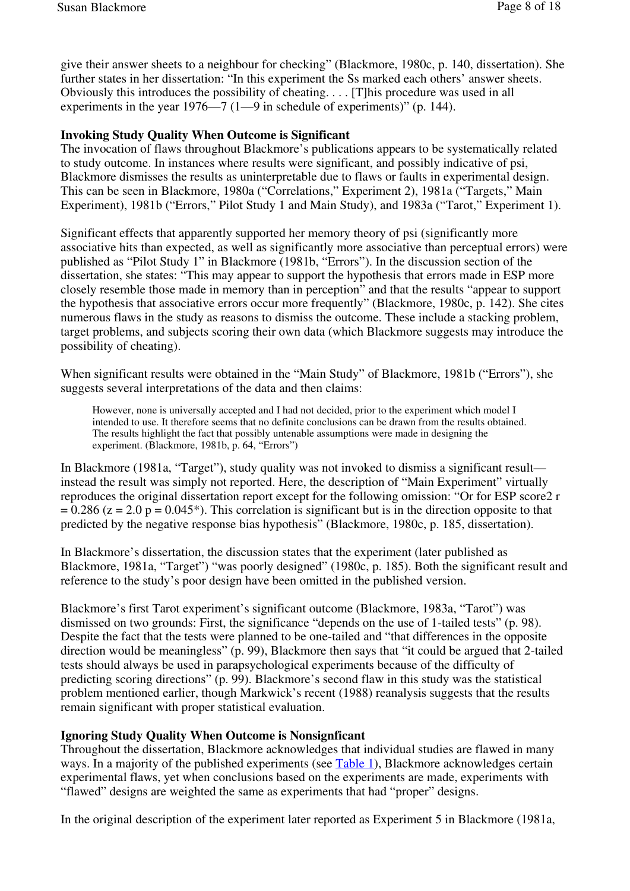give their answer sheets to a neighbour for checking" (Blackmore, 1980c, p. 140, dissertation). She further states in her dissertation: "In this experiment the Ss marked each others' answer sheets. Obviously this introduces the possibility of cheating. . . . [T]his procedure was used in all experiments in the year 1976—7 (1—9 in schedule of experiments)" (p. 144).

### **Invoking Study Quality When Outcome is Significant**

The invocation of flaws throughout Blackmore's publications appears to be systematically related to study outcome. In instances where results were significant, and possibly indicative of psi, Blackmore dismisses the results as uninterpretable due to flaws or faults in experimental design. This can be seen in Blackmore, 1980a ("Correlations," Experiment 2), 1981a ("Targets," Main Experiment), 1981b ("Errors," Pilot Study 1 and Main Study), and 1983a ("Tarot," Experiment 1).

Significant effects that apparently supported her memory theory of psi (significantly more associative hits than expected, as well as significantly more associative than perceptual errors) were published as "Pilot Study 1" in Blackmore (1981b, "Errors"). In the discussion section of the dissertation, she states: "This may appear to support the hypothesis that errors made in ESP more closely resemble those made in memory than in perception" and that the results "appear to support the hypothesis that associative errors occur more frequently" (Blackmore, 1980c, p. 142). She cites numerous flaws in the study as reasons to dismiss the outcome. These include a stacking problem, target problems, and subjects scoring their own data (which Blackmore suggests may introduce the possibility of cheating).

When significant results were obtained in the "Main Study" of Blackmore, 1981b ("Errors"), she suggests several interpretations of the data and then claims:

However, none is universally accepted and I had not decided, prior to the experiment which model I intended to use. It therefore seems that no definite conclusions can be drawn from the results obtained. The results highlight the fact that possibly untenable assumptions were made in designing the experiment. (Blackmore, 1981b, p. 64, "Errors")

In Blackmore (1981a, "Target"), study quality was not invoked to dismiss a significant result instead the result was simply not reported. Here, the description of "Main Experiment" virtually reproduces the original dissertation report except for the following omission: "Or for ESP score2 r  $= 0.286$  (z = 2.0 p = 0.045<sup>\*</sup>). This correlation is significant but is in the direction opposite to that predicted by the negative response bias hypothesis" (Blackmore, 1980c, p. 185, dissertation).

In Blackmore's dissertation, the discussion states that the experiment (later published as Blackmore, 1981a, "Target") "was poorly designed" (1980c, p. 185). Both the significant result and reference to the study's poor design have been omitted in the published version.

Blackmore's first Tarot experiment's significant outcome (Blackmore, 1983a, "Tarot") was dismissed on two grounds: First, the significance "depends on the use of 1-tailed tests" (p. 98). Despite the fact that the tests were planned to be one-tailed and "that differences in the opposite direction would be meaningless" (p. 99), Blackmore then says that "it could be argued that 2-tailed tests should always be used in parapsychological experiments because of the difficulty of predicting scoring directions" (p. 99). Blackmore's second flaw in this study was the statistical problem mentioned earlier, though Markwick's recent (1988) reanalysis suggests that the results remain significant with proper statistical evaluation.

### **Ignoring Study Quality When Outcome is Nonsignficant**

Throughout the dissertation, Blackmore acknowledges that individual studies are flawed in many ways. In a majority of the published experiments (see Table 1), Blackmore acknowledges certain experimental flaws, yet when conclusions based on the experiments are made, experiments with "flawed" designs are weighted the same as experiments that had "proper" designs.

In the original description of the experiment later reported as Experiment 5 in Blackmore (1981a,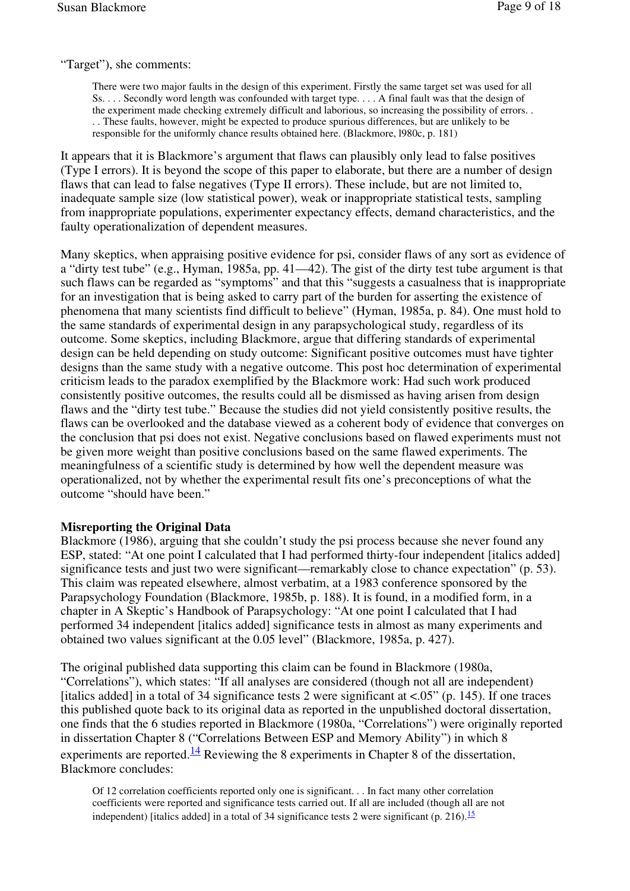"Target"), she comments:

There were two major faults in the design of this experiment. Firstly the same target set was used for all Ss. . . . Secondly word length was confounded with target type. . . . A final fault was that the design of the experiment made checking extremely difficult and laborious, so increasing the possibility of errors. . . . These faults, however, might be expected to produce spurious differences, but are unlikely to be responsible for the uniformly chance results obtained here. (Blackmore, l980c, p. 181)

It appears that it is Blackmore's argument that flaws can plausibly only lead to false positives (Type I errors). It is beyond the scope of this paper to elaborate, but there are a number of design flaws that can lead to false negatives (Type II errors). These include, but are not limited to, inadequate sample size (low statistical power), weak or inappropriate statistical tests, sampling from inappropriate populations, experimenter expectancy effects, demand characteristics, and the faulty operationalization of dependent measures.

Many skeptics, when appraising positive evidence for psi, consider flaws of any sort as evidence of a "dirty test tube" (e.g., Hyman, 1985a, pp. 41—42). The gist of the dirty test tube argument is that such flaws can be regarded as "symptoms" and that this "suggests a casualness that is inappropriate for an investigation that is being asked to carry part of the burden for asserting the existence of phenomena that many scientists find difficult to believe" (Hyman, 1985a, p. 84). One must hold to the same standards of experimental design in any parapsychological study, regardless of its outcome. Some skeptics, including Blackmore, argue that differing standards of experimental design can be held depending on study outcome: Significant positive outcomes must have tighter designs than the same study with a negative outcome. This post hoc determination of experimental criticism leads to the paradox exemplified by the Blackmore work: Had such work produced consistently positive outcomes, the results could all be dismissed as having arisen from design flaws and the "dirty test tube." Because the studies did not yield consistently positive results, the flaws can be overlooked and the database viewed as a coherent body of evidence that converges on the conclusion that psi does not exist. Negative conclusions based on flawed experiments must not be given more weight than positive conclusions based on the same flawed experiments. The meaningfulness of a scientific study is determined by how well the dependent measure was operationalized, not by whether the experimental result fits one's preconceptions of what the outcome "should have been."

### **Misreporting the Original Data**

Blackmore (1986), arguing that she couldn't study the psi process because she never found any ESP, stated: "At one point I calculated that I had performed thirty-four independent [italics added] significance tests and just two were significant—remarkably close to chance expectation" (p. 53). This claim was repeated elsewhere, almost verbatim, at a 1983 conference sponsored by the Parapsychology Foundation (Blackmore, 1985b, p. 188). It is found, in a modified form, in a chapter in A Skeptic's Handbook of Parapsychology: "At one point I calculated that I had performed 34 independent [italics added] significance tests in almost as many experiments and obtained two values significant at the 0.05 level" (Blackmore, 1985a, p. 427).

The original published data supporting this claim can be found in Blackmore (1980a, "Correlations"), which states: "If all analyses are considered (though not all are independent) [italics added] in a total of 34 significance tests 2 were significant at <.05" (p. 145). If one traces this published quote back to its original data as reported in the unpublished doctoral dissertation, one finds that the 6 studies reported in Blackmore (1980a, "Correlations") were originally reported in dissertation Chapter 8 ("Correlations Between ESP and Memory Ability") in which 8 experiments are reported. $\frac{14}{1}$  Reviewing the 8 experiments in Chapter 8 of the dissertation, Blackmore concludes:

Of 12 correlation coefficients reported only one is significant. . . In fact many other correlation coefficients were reported and significance tests carried out. If all are included (though all are not independent) [italics added] in a total of 34 significance tests 2 were significant (p. 216).<sup>15</sup>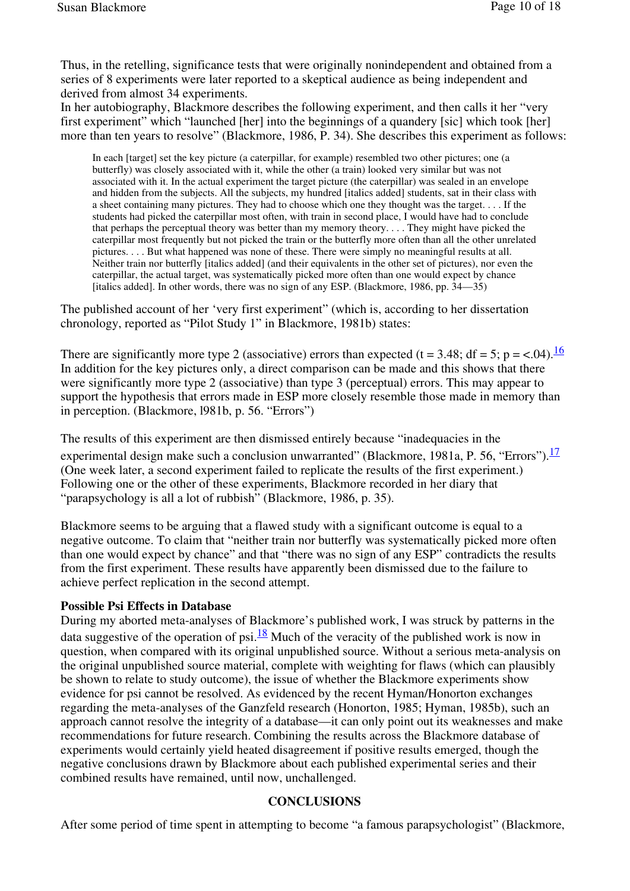Thus, in the retelling, significance tests that were originally nonindependent and obtained from a series of 8 experiments were later reported to a skeptical audience as being independent and derived from almost 34 experiments.

In her autobiography, Blackmore describes the following experiment, and then calls it her "very first experiment" which "launched [her] into the beginnings of a quandery [sic] which took [her] more than ten years to resolve" (Blackmore, 1986, P. 34). She describes this experiment as follows:

In each [target] set the key picture (a caterpillar, for example) resembled two other pictures; one (a butterfly) was closely associated with it, while the other (a train) looked very similar but was not associated with it. In the actual experiment the target picture (the caterpillar) was sealed in an envelope and hidden from the subjects. All the subjects, my hundred [italics added] students, sat in their class with a sheet containing many pictures. They had to choose which one they thought was the target. . . . If the students had picked the caterpillar most often, with train in second place, I would have had to conclude that perhaps the perceptual theory was better than my memory theory. . . . They might have picked the caterpillar most frequently but not picked the train or the butterfly more often than all the other unrelated pictures. . . . But what happened was none of these. There were simply no meaningful results at all. Neither train nor butterfly [italics added] (and their equivalents in the other set of pictures), nor even the caterpillar, the actual target, was systematically picked more often than one would expect by chance [italics added]. In other words, there was no sign of any ESP. (Blackmore, 1986, pp.  $34-35$ )

The published account of her 'very first experiment" (which is, according to her dissertation chronology, reported as "Pilot Study 1" in Blackmore, 1981b) states:

There are significantly more type 2 (associative) errors than expected (t = 3.48; df = 5; p = <.04).<sup>16</sup> In addition for the key pictures only, a direct comparison can be made and this shows that there were significantly more type 2 (associative) than type 3 (perceptual) errors. This may appear to support the hypothesis that errors made in ESP more closely resemble those made in memory than in perception. (Blackmore, l981b, p. 56. "Errors")

The results of this experiment are then dismissed entirely because "inadequacies in the experimental design make such a conclusion unwarranted" (Blackmore, 1981a, P. 56, "Errors"). $\frac{17}{17}$ (One week later, a second experiment failed to replicate the results of the first experiment.) Following one or the other of these experiments, Blackmore recorded in her diary that "parapsychology is all a lot of rubbish" (Blackmore, 1986, p. 35).

Blackmore seems to be arguing that a flawed study with a significant outcome is equal to a negative outcome. To claim that "neither train nor butterfly was systematically picked more often than one would expect by chance" and that "there was no sign of any ESP" contradicts the results from the first experiment. These results have apparently been dismissed due to the failure to achieve perfect replication in the second attempt.

## **Possible Psi Effects in Database**

During my aborted meta-analyses of Blackmore's published work, I was struck by patterns in the data suggestive of the operation of psi.<sup>18</sup> Much of the veracity of the published work is now in question, when compared with its original unpublished source. Without a serious meta-analysis on the original unpublished source material, complete with weighting for flaws (which can plausibly be shown to relate to study outcome), the issue of whether the Blackmore experiments show evidence for psi cannot be resolved. As evidenced by the recent Hyman/Honorton exchanges regarding the meta-analyses of the Ganzfeld research (Honorton, 1985; Hyman, 1985b), such an approach cannot resolve the integrity of a database—it can only point out its weaknesses and make recommendations for future research. Combining the results across the Blackmore database of experiments would certainly yield heated disagreement if positive results emerged, though the negative conclusions drawn by Blackmore about each published experimental series and their combined results have remained, until now, unchallenged.

#### **CONCLUSIONS**

After some period of time spent in attempting to become "a famous parapsychologist" (Blackmore,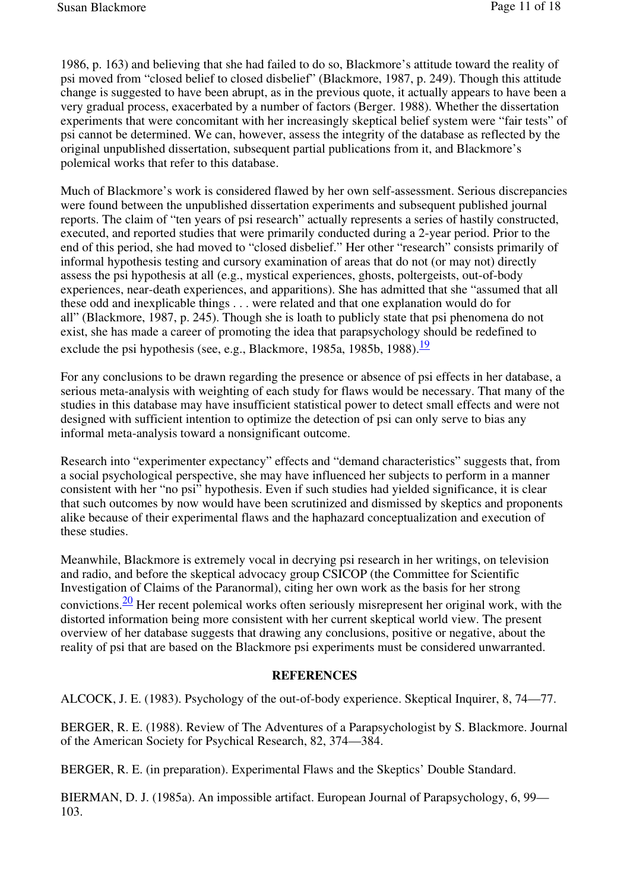1986, p. 163) and believing that she had failed to do so, Blackmore's attitude toward the reality of psi moved from "closed belief to closed disbelief" (Blackmore, 1987, p. 249). Though this attitude change is suggested to have been abrupt, as in the previous quote, it actually appears to have been a very gradual process, exacerbated by a number of factors (Berger. 1988). Whether the dissertation experiments that were concomitant with her increasingly skeptical belief system were "fair tests" of psi cannot be determined. We can, however, assess the integrity of the database as reflected by the original unpublished dissertation, subsequent partial publications from it, and Blackmore's polemical works that refer to this database.

Much of Blackmore's work is considered flawed by her own self-assessment. Serious discrepancies were found between the unpublished dissertation experiments and subsequent published journal reports. The claim of "ten years of psi research" actually represents a series of hastily constructed, executed, and reported studies that were primarily conducted during a 2-year period. Prior to the end of this period, she had moved to "closed disbelief." Her other "research" consists primarily of informal hypothesis testing and cursory examination of areas that do not (or may not) directly assess the psi hypothesis at all (e.g., mystical experiences, ghosts, poltergeists, out-of-body experiences, near-death experiences, and apparitions). She has admitted that she "assumed that all these odd and inexplicable things . . . were related and that one explanation would do for all" (Blackmore, 1987, p. 245). Though she is loath to publicly state that psi phenomena do not exist, she has made a career of promoting the idea that parapsychology should be redefined to exclude the psi hypothesis (see, e.g., Blackmore, 1985a, 1985b, 1988). $\frac{19}{19}$ 

For any conclusions to be drawn regarding the presence or absence of psi effects in her database, a serious meta-analysis with weighting of each study for flaws would be necessary. That many of the studies in this database may have insufficient statistical power to detect small effects and were not designed with sufficient intention to optimize the detection of psi can only serve to bias any informal meta-analysis toward a nonsignificant outcome.

Research into "experimenter expectancy" effects and "demand characteristics" suggests that, from a social psychological perspective, she may have influenced her subjects to perform in a manner consistent with her "no psi" hypothesis. Even if such studies had yielded significance, it is clear that such outcomes by now would have been scrutinized and dismissed by skeptics and proponents alike because of their experimental flaws and the haphazard conceptualization and execution of these studies.

Meanwhile, Blackmore is extremely vocal in decrying psi research in her writings, on television and radio, and before the skeptical advocacy group CSICOP (the Committee for Scientific Investigation of Claims of the Paranormal), citing her own work as the basis for her strong convictions.  $\frac{20}{2}$  Her recent polemical works often seriously misrepresent her original work, with the distorted information being more consistent with her current skeptical world view. The present overview of her database suggests that drawing any conclusions, positive or negative, about the reality of psi that are based on the Blackmore psi experiments must be considered unwarranted.

#### **REFERENCES**

ALCOCK, J. E. (1983). Psychology of the out-of-body experience. Skeptical Inquirer, 8, 74—77.

BERGER, R. E. (1988). Review of The Adventures of a Parapsychologist by S. Blackmore. Journal of the American Society for Psychical Research, 82, 374—384.

BERGER, R. E. (in preparation). Experimental Flaws and the Skeptics' Double Standard.

BIERMAN, D. J. (1985a). An impossible artifact. European Journal of Parapsychology, 6, 99— 103.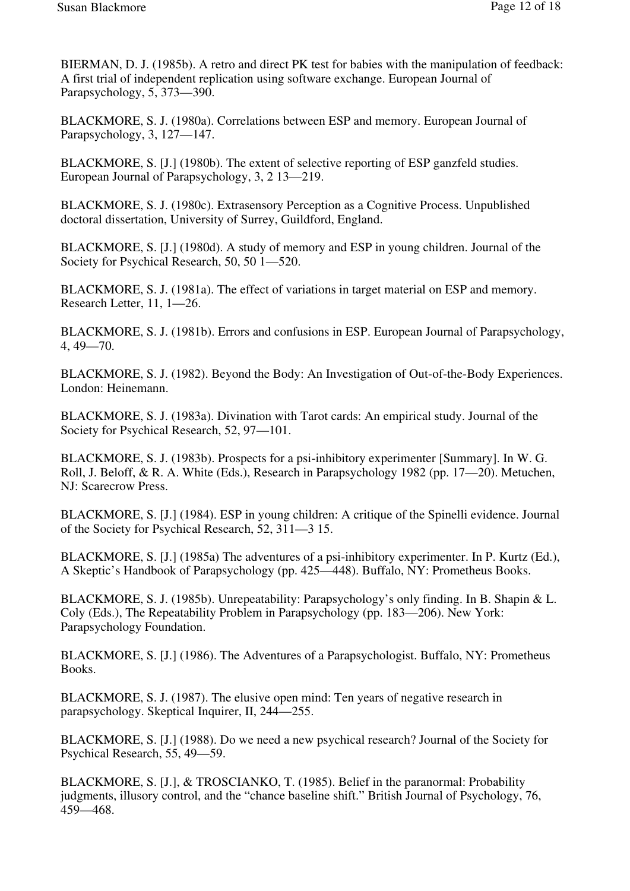BIERMAN, D. J. (1985b). A retro and direct PK test for babies with the manipulation of feedback: A first trial of independent replication using software exchange. European Journal of Parapsychology, 5, 373—390.

BLACKMORE, S. J. (1980a). Correlations between ESP and memory. European Journal of Parapsychology, 3, 127—147.

BLACKMORE, S. [J.] (1980b). The extent of selective reporting of ESP ganzfeld studies. European Journal of Parapsychology, 3, 2 13—219.

BLACKMORE, S. J. (1980c). Extrasensory Perception as a Cognitive Process. Unpublished doctoral dissertation, University of Surrey, Guildford, England.

BLACKMORE, S. [J.] (1980d). A study of memory and ESP in young children. Journal of the Society for Psychical Research, 50, 50 1—520.

BLACKMORE, S. J. (1981a). The effect of variations in target material on ESP and memory. Research Letter, 11, 1—26.

BLACKMORE, S. J. (1981b). Errors and confusions in ESP. European Journal of Parapsychology, 4, 49—70.

BLACKMORE, S. J. (1982). Beyond the Body: An Investigation of Out-of-the-Body Experiences. London: Heinemann.

BLACKMORE, S. J. (1983a). Divination with Tarot cards: An empirical study. Journal of the Society for Psychical Research, 52, 97—101.

BLACKMORE, S. J. (1983b). Prospects for a psi-inhibitory experimenter [Summary]. In W. G. Roll, J. Beloff, & R. A. White (Eds.), Research in Parapsychology 1982 (pp. 17—20). Metuchen, NJ: Scarecrow Press.

BLACKMORE, S. [J.] (1984). ESP in young children: A critique of the Spinelli evidence. Journal of the Society for Psychical Research, 52, 311—3 15.

BLACKMORE, S. [J.] (1985a) The adventures of a psi-inhibitory experimenter. In P. Kurtz (Ed.), A Skeptic's Handbook of Parapsychology (pp. 425—448). Buffalo, NY: Prometheus Books.

BLACKMORE, S. J. (1985b). Unrepeatability: Parapsychology's only finding. In B. Shapin & L. Coly (Eds.), The Repeatability Problem in Parapsychology (pp. 183—206). New York: Parapsychology Foundation.

BLACKMORE, S. [J.] (1986). The Adventures of a Parapsychologist. Buffalo, NY: Prometheus Books.

BLACKMORE, S. J. (1987). The elusive open mind: Ten years of negative research in parapsychology. Skeptical Inquirer, II, 244—255.

BLACKMORE, S. [J.] (1988). Do we need a new psychical research? Journal of the Society for Psychical Research, 55, 49—59.

BLACKMORE, S. [J.], & TROSCIANKO, T. (1985). Belief in the paranormal: Probability judgments, illusory control, and the "chance baseline shift." British Journal of Psychology, 76, 459—468.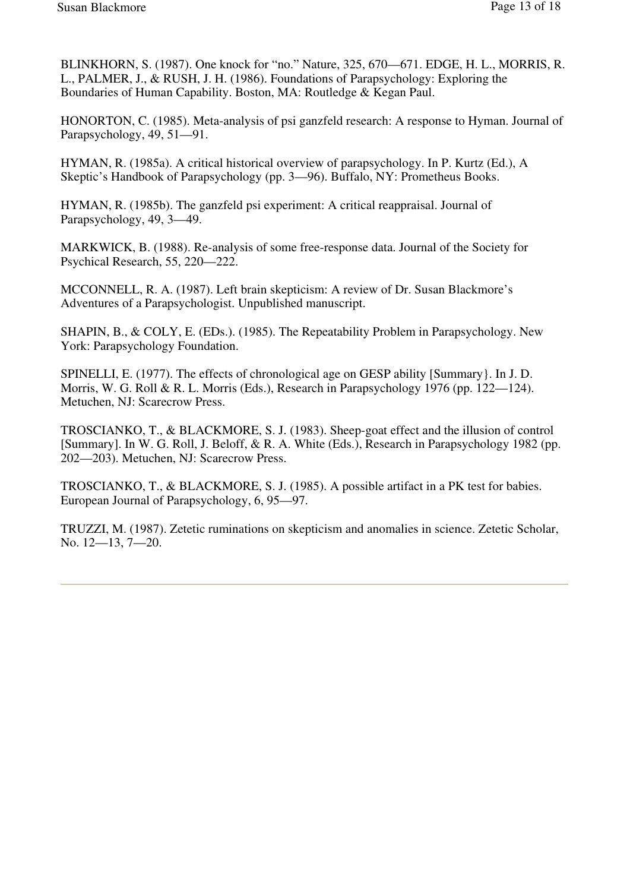BLINKHORN, S. (1987). One knock for "no." Nature, 325, 670—671. EDGE, H. L., MORRIS, R. L., PALMER, J., & RUSH, J. H. (1986). Foundations of Parapsychology: Exploring the Boundaries of Human Capability. Boston, MA: Routledge & Kegan Paul.

HONORTON, C. (1985). Meta-analysis of psi ganzfeld research: A response to Hyman. Journal of Parapsychology, 49, 51—91.

HYMAN, R. (1985a). A critical historical overview of parapsychology. In P. Kurtz (Ed.), A Skeptic's Handbook of Parapsychology (pp. 3—96). Buffalo, NY: Prometheus Books.

HYMAN, R. (1985b). The ganzfeld psi experiment: A critical reappraisal. Journal of Parapsychology, 49, 3—49.

MARKWICK, B. (1988). Re-analysis of some free-response data. Journal of the Society for Psychical Research, 55, 220—222.

MCCONNELL, R. A. (1987). Left brain skepticism: A review of Dr. Susan Blackmore's Adventures of a Parapsychologist. Unpublished manuscript.

SHAPIN, B., & COLY, E. (EDs.). (1985). The Repeatability Problem in Parapsychology. New York: Parapsychology Foundation.

SPINELLI, E. (1977). The effects of chronological age on GESP ability [Summary}. In J. D. Morris, W. G. Roll & R. L. Morris (Eds.), Research in Parapsychology 1976 (pp. 122—124). Metuchen, NJ: Scarecrow Press.

TROSCIANKO, T., & BLACKMORE, S. J. (1983). Sheep-goat effect and the illusion of control [Summary]. In W. G. Roll, J. Beloff, & R. A. White (Eds.), Research in Parapsychology 1982 (pp. 202—203). Metuchen, NJ: Scarecrow Press.

TROSCIANKO, T., & BLACKMORE, S. J. (1985). A possible artifact in a PK test for babies. European Journal of Parapsychology, 6, 95—97.

TRUZZI, M. (1987). Zetetic ruminations on skepticism and anomalies in science. Zetetic Scholar, No. 12—13, 7—20.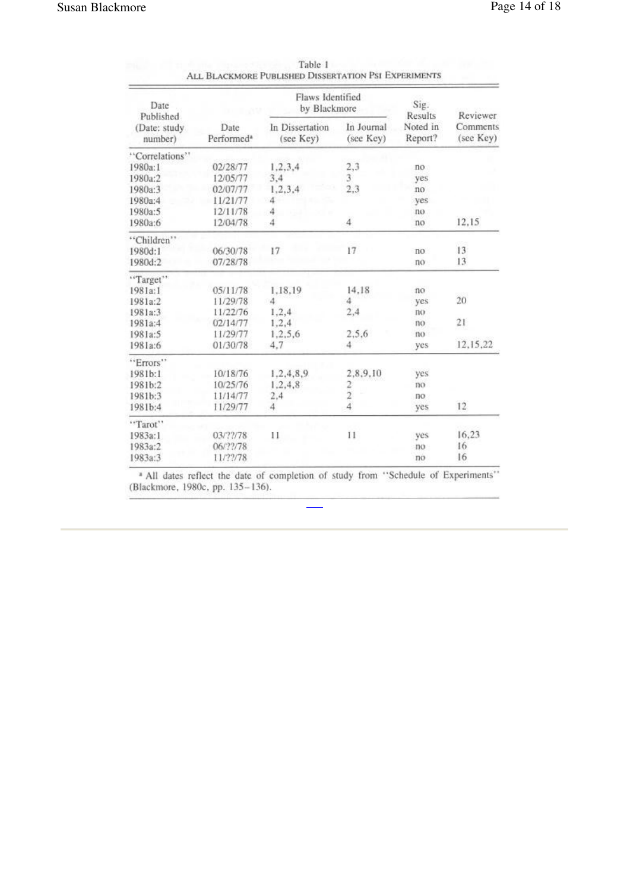| Date<br>Published       |                                | Flaws Identified<br>by Blackmore |                         | Sig.<br>Results     | Reviewer<br>Comments<br>(see Key) |
|-------------------------|--------------------------------|----------------------------------|-------------------------|---------------------|-----------------------------------|
| (Date: study<br>number) | Date<br>Performed <sup>®</sup> | In Dissertation<br>(see Key)     | In Journal<br>(see Key) | Noted in<br>Report? |                                   |
| "Correlations"          |                                |                                  |                         |                     |                                   |
| 1980a:1                 | 02/28/77                       | 1,2,3,4                          | 2,3                     | no                  |                                   |
| 1980a:2                 | 12/05/77                       | 3,4                              | 3                       | yes                 |                                   |
| 1980a:3                 | 02/07/77                       | 1,2,3,4                          | 2,3                     | no                  |                                   |
| 1980a:4                 | 11/21/77                       | 4                                |                         | yes                 |                                   |
| 1980a:5                 | 12/11/78                       | 4                                |                         | no                  |                                   |
| 1980a:6                 | 12/04/78                       | 4                                | $\ddot{4}$              | no                  | 12,15                             |
| "Children"              |                                |                                  |                         |                     |                                   |
| 1980d:1                 | 06/30/78                       | 17                               | 17                      | no                  | 13                                |
| 1980d:2                 | 07/28/78                       |                                  |                         | no                  | 13                                |
| "Target"                |                                |                                  |                         |                     |                                   |
| 1981a:1                 | 05/11/78                       | 1,18.19                          | 14.18                   | no                  |                                   |
| 1981a:2                 | 11/29/78                       | 4                                | 4                       | yes                 | 20                                |
| 1981a:3                 | 11/22/76                       | 1,2,4                            | 2,4                     | no                  |                                   |
| 1981a:4                 | 02/14/77                       | 1,2,4                            |                         | no                  | 21                                |
| 1981a:5                 | 11/29/77                       | 1,2,5,6                          | 2,5,6                   | no.                 |                                   |
| 1981a:6                 | 01/30/78                       | 4.7                              | 4                       | yes                 | 12,15,22                          |
| "Errors"                |                                |                                  |                         |                     |                                   |
| 1981b:1                 | 10/18/76                       | 1,2,4,8,9                        | 2,8,9,10                | yes                 |                                   |
| 1981b:2                 | 10/25/76                       | 1,2,4,8                          |                         | no                  |                                   |
| 1981b:3                 | 11/14/77                       | 2,4                              | $\frac{2}{2}$           | no                  |                                   |
| 1981b:4                 | 11/29/77                       | 4                                | $\ddot{4}$              | yes                 | 12                                |
| "Tarot"                 |                                |                                  |                         |                     |                                   |
| 1983a:1                 | 03/??/78                       | 11                               | 11                      | yes                 | 16,23                             |
| 1983a:2                 | 06/??/78                       |                                  |                         | no                  | 16                                |
| 1983a:3                 | 11/22/78                       |                                  |                         | no                  | 16                                |

| Table 1                                              |  |
|------------------------------------------------------|--|
| ALL BLACKMORE PUBLISHED DISSERTATION PSI EXPERIMENTS |  |

 $*$  All dates reflect the date of completion of study from "Schedule of Experiments" (Blackmore, 1980c, pp. 135–136).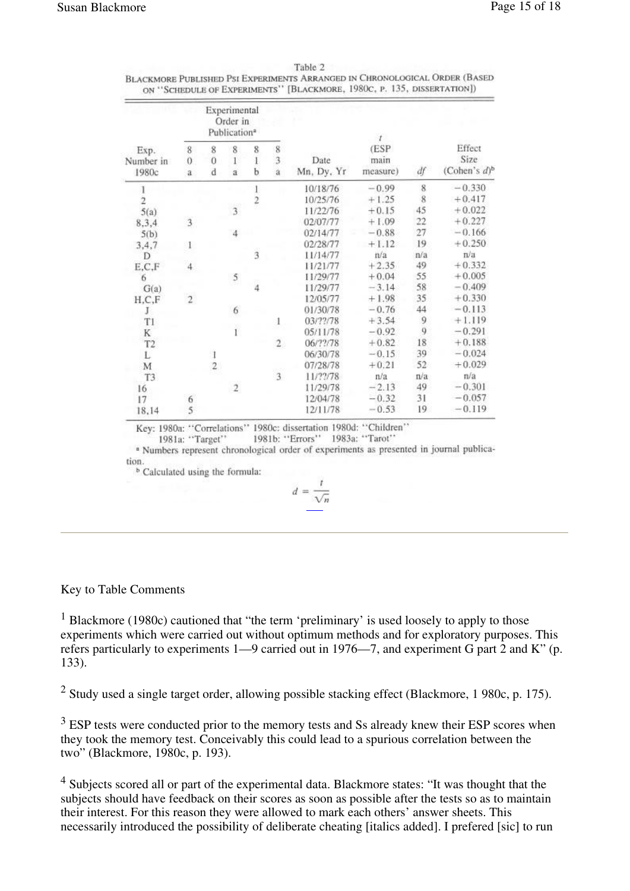| Exp.<br>Number in<br>1980c | Experimental<br>Order in<br>Publication <sup>a</sup> |                |                          |                |                                       |                    | Ť.                       |                         |                                               |
|----------------------------|------------------------------------------------------|----------------|--------------------------|----------------|---------------------------------------|--------------------|--------------------------|-------------------------|-----------------------------------------------|
|                            | $\,$ 8 $\,$<br>$\theta$<br>a                         | 8<br>0<br>d    | 8<br>1<br>$\ddot{\rm a}$ | 8<br>1<br>b    | 8<br>$\overline{3}$<br>$\ddot{\rm a}$ | Date<br>Mn, Dy, Yr | (ESP<br>main<br>measure) | df                      | Effect<br>Size<br>(Cohen's $d$ ) <sup>b</sup> |
|                            |                                                      |                |                          | 1              |                                       | 10/18/76           | $-0.99$                  | 8                       | $-0.330$                                      |
| $\overline{2}$             |                                                      |                |                          | $\overline{2}$ |                                       | 10/25/76           | $+1.25$                  | $\overline{\mathbf{8}}$ | $+0.417$                                      |
| 5(a)                       |                                                      |                | $\overline{\mathbf{3}}$  |                |                                       | 11/22/76           | $+0.15$                  | 45                      | $+0.022$                                      |
| 8,3,4                      | $\overline{\mathbf{3}}$                              |                |                          |                |                                       | 02/07/77           | $+1.09$                  | 22                      | $+0.227$                                      |
| 5(b)                       |                                                      |                | $\overline{4}$           |                |                                       | 02/14/77           | $-0.88$                  | 27                      | $-0.166$                                      |
| 3, 4, 7                    | 1                                                    |                |                          |                |                                       | 02/28/77           | $+1.12$                  | 19                      | $+0.250$                                      |
| D                          |                                                      |                |                          | $\ddot{3}$     |                                       | 11/14/77           | n/a                      | n/a                     | n/a                                           |
| E,C,F                      | 4                                                    |                |                          |                |                                       | 11/21/77           | $+2.35$                  | 49                      | $+0.332$                                      |
| 6                          |                                                      |                | 5                        |                |                                       | 11/29/77           | $+0.04$                  | 55                      | $+0.005$                                      |
| G(a)                       |                                                      |                |                          | $\frac{1}{4}$  |                                       | 11/29/77           | $-3.14$                  | 58                      | $-0.409$                                      |
| H, C, F                    | $\overline{2}$                                       |                |                          |                |                                       | 12/05/77           | $+1.98$                  | 35                      | $+0.330$                                      |
| J.                         |                                                      |                | 6                        |                |                                       | 01/30/78           | $-0.76$                  | 44                      | $-0.113$                                      |
| T1                         |                                                      |                |                          |                | 1                                     | 03/??/78           | $+3.54$                  | 9                       | $+1.119$                                      |
| K                          |                                                      |                | ï                        |                |                                       | 05/11/78           | $-0.92$                  | 9                       | $-0.291$                                      |
| T <sub>2</sub>             |                                                      |                |                          |                | $\overline{2}$                        | 06/??/78           | $+0.82$                  | 18                      | $+0.188$                                      |
| L                          |                                                      |                |                          |                |                                       | 06/30/78           | $-0.15$                  | 39                      | $-0.024$                                      |
| M                          |                                                      | $\overline{2}$ |                          |                |                                       | 07/28/78           | $+0.21$                  | 52                      | $+0.029$                                      |
| T <sub>3</sub>             |                                                      |                |                          |                | $\overline{3}$                        | 11/??/78           | n/a                      | n/a                     | $\pi/a$                                       |
| 16                         |                                                      |                | $\mathbf{2}$             |                |                                       | 11/29/78           | $-2.13$                  | 49                      | $-0.301$                                      |
| 17                         | 6                                                    |                |                          |                |                                       | 12/04/78           | $-0.32$                  | 31                      | $-0.057$                                      |
| 18,14                      | $\overline{5}$                                       |                |                          |                |                                       | 12/11/78           | $-0.53$                  | 19                      | $-0.119$                                      |

| Table 2                                                                    |
|----------------------------------------------------------------------------|
| BLACKMORE PUBLISHED PSI EXPERIMENTS ARRANGED IN CHRONOLOGICAL ORDER (BASED |
| ON "SCHEDULE OF EXPERIMENTS" [BLACKMORE, 1980C, P. 135, DISSERTATION])     |

Key: 1980a: "Correlations" 1980c: dissertation 1980d: "Children" 1981a: "Target" 1981b: "Errors" 1983a: "Tarot" 1981a: "Target" 1981b: "Errors" 1983a: "Tarot" 1981a: "Target" 1981a: "Tarot" 1983a: "Tarot" 1983a: "Tarot" 19 tion.

<sup>b</sup> Calculated using the formula:

$$
d = \frac{1}{\sqrt{n}}
$$

## Key to Table Comments

<sup>1</sup> Blackmore (1980c) cautioned that "the term 'preliminary' is used loosely to apply to those experiments which were carried out without optimum methods and for exploratory purposes. This refers particularly to experiments 1—9 carried out in 1976—7, and experiment G part 2 and K" (p. 133).

 $2$  Study used a single target order, allowing possible stacking effect (Blackmore, 1 980c, p. 175).

 $3$  ESP tests were conducted prior to the memory tests and Ss already knew their ESP scores when they took the memory test. Conceivably this could lead to a spurious correlation between the two" (Blackmore, 1980c, p. 193).

<sup>4</sup> Subjects scored all or part of the experimental data. Blackmore states: "It was thought that the subjects should have feedback on their scores as soon as possible after the tests so as to maintain their interest. For this reason they were allowed to mark each others' answer sheets. This necessarily introduced the possibility of deliberate cheating [italics added]. I prefered [sic] to run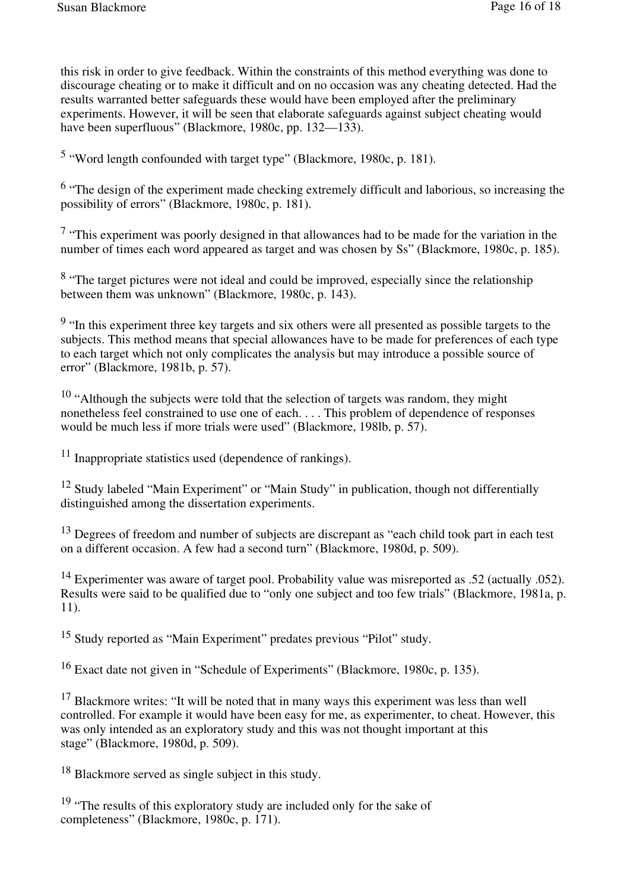this risk in order to give feedback. Within the constraints of this method everything was done to discourage cheating or to make it difficult and on no occasion was any cheating detected. Had the results warranted better safeguards these would have been employed after the preliminary experiments. However, it will be seen that elaborate safeguards against subject cheating would have been superfluous" (Blackmore, 1980c, pp. 132—133).

<sup>5</sup> "Word length confounded with target type" (Blackmore, 1980c, p. 181).

<sup>6</sup> "The design of the experiment made checking extremely difficult and laborious, so increasing the possibility of errors" (Blackmore, 1980c, p. 181).

 $<sup>7</sup>$  "This experiment was poorly designed in that allowances had to be made for the variation in the</sup> number of times each word appeared as target and was chosen by Ss" (Blackmore, 1980c, p. 185).

<sup>8</sup> "The target pictures were not ideal and could be improved, especially since the relationship between them was unknown" (Blackmore, 1980c, p. 143).

<sup>9</sup> "In this experiment three key targets and six others were all presented as possible targets to the subjects. This method means that special allowances have to be made for preferences of each type to each target which not only complicates the analysis but may introduce a possible source of error" (Blackmore, 1981b, p. 57).

 $10$  "Although the subjects were told that the selection of targets was random, they might nonetheless feel constrained to use one of each. . . . This problem of dependence of responses would be much less if more trials were used" (Blackmore, 198lb, p. 57).

<sup>11</sup> Inappropriate statistics used (dependence of rankings).

<sup>12</sup> Study labeled "Main Experiment" or "Main Study" in publication, though not differentially distinguished among the dissertation experiments.

<sup>13</sup> Degrees of freedom and number of subjects are discrepant as "each child took part in each test" on a different occasion. A few had a second turn" (Blackmore, 1980d, p. 509).

<sup>14</sup> Experimenter was aware of target pool. Probability value was misreported as .52 (actually .052). Results were said to be qualified due to "only one subject and too few trials" (Blackmore, 1981a, p. 11).

<sup>15</sup> Study reported as "Main Experiment" predates previous "Pilot" study.

<sup>16</sup> Exact date not given in "Schedule of Experiments" (Blackmore, 1980c, p. 135).

<sup>17</sup> Blackmore writes: "It will be noted that in many ways this experiment was less than well controlled. For example it would have been easy for me, as experimenter, to cheat. However, this was only intended as an exploratory study and this was not thought important at this stage" (Blackmore, 1980d, p. 509).

<sup>18</sup> Blackmore served as single subject in this study.

 $19$  "The results of this exploratory study are included only for the sake of completeness" (Blackmore, 1980c, p. 171).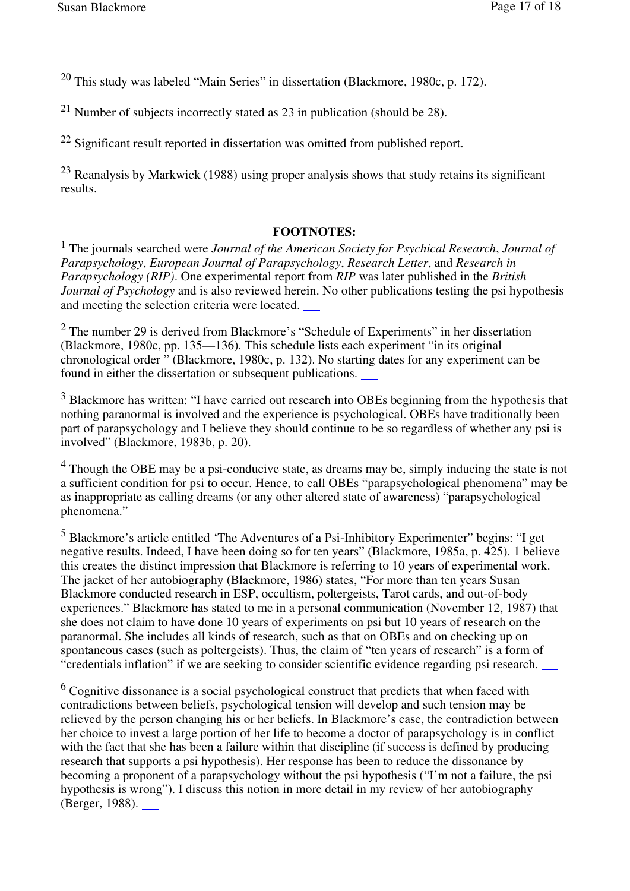<sup>20</sup> This study was labeled "Main Series" in dissertation (Blackmore, 1980c, p. 172).

<sup>21</sup> Number of subjects incorrectly stated as  $23$  in publication (should be  $28$ ).

<sup>22</sup> Significant result reported in dissertation was omitted from published report.

 $23$  Reanalysis by Markwick (1988) using proper analysis shows that study retains its significant results.

#### **FOOTNOTES:**

1 The journals searched were *Journal of the American Society for Psychical Research*, *Journal of Parapsychology*, *European Journal of Parapsychology*, *Research Letter*, and *Research in Parapsychology (RIP)*. One experimental report from *RIP* was later published in the *British Journal of Psychology* and is also reviewed herein. No other publications testing the psi hypothesis and meeting the selection criteria were located.

 $2$  The number 29 is derived from Blackmore's "Schedule of Experiments" in her dissertation (Blackmore, 1980c, pp. 135—136). This schedule lists each experiment "in its original chronological order " (Blackmore, 1980c, p. 132). No starting dates for any experiment can be found in either the dissertation or subsequent publications.

<sup>3</sup> Blackmore has written: "I have carried out research into OBEs beginning from the hypothesis that nothing paranormal is involved and the experience is psychological. OBEs have traditionally been part of parapsychology and I believe they should continue to be so regardless of whether any psi is involved" (Blackmore, 1983b, p. 20).

<sup>4</sup> Though the OBE may be a psi-conducive state, as dreams may be, simply inducing the state is not a sufficient condition for psi to occur. Hence, to call OBEs "parapsychological phenomena" may be as inappropriate as calling dreams (or any other altered state of awareness) "parapsychological phenomena."

<sup>5</sup> Blackmore's article entitled 'The Adventures of a Psi-Inhibitory Experimenter'' begins: "I get negative results. Indeed, I have been doing so for ten years" (Blackmore, 1985a, p. 425). 1 believe this creates the distinct impression that Blackmore is referring to 10 years of experimental work. The jacket of her autobiography (Blackmore, 1986) states, "For more than ten years Susan Blackmore conducted research in ESP, occultism, poltergeists, Tarot cards, and out-of-body experiences." Blackmore has stated to me in a personal communication (November 12, 1987) that she does not claim to have done 10 years of experiments on psi but 10 years of research on the paranormal. She includes all kinds of research, such as that on OBEs and on checking up on spontaneous cases (such as poltergeists). Thus, the claim of "ten years of research" is a form of "credentials inflation" if we are seeking to consider scientific evidence regarding psi research.

 $6$  Cognitive dissonance is a social psychological construct that predicts that when faced with contradictions between beliefs, psychological tension will develop and such tension may be relieved by the person changing his or her beliefs. In Blackmore's case, the contradiction between her choice to invest a large portion of her life to become a doctor of parapsychology is in conflict with the fact that she has been a failure within that discipline (if success is defined by producing research that supports a psi hypothesis). Her response has been to reduce the dissonance by becoming a proponent of a parapsychology without the psi hypothesis ("I'm not a failure, the psi hypothesis is wrong"). I discuss this notion in more detail in my review of her autobiography (Berger, 1988).